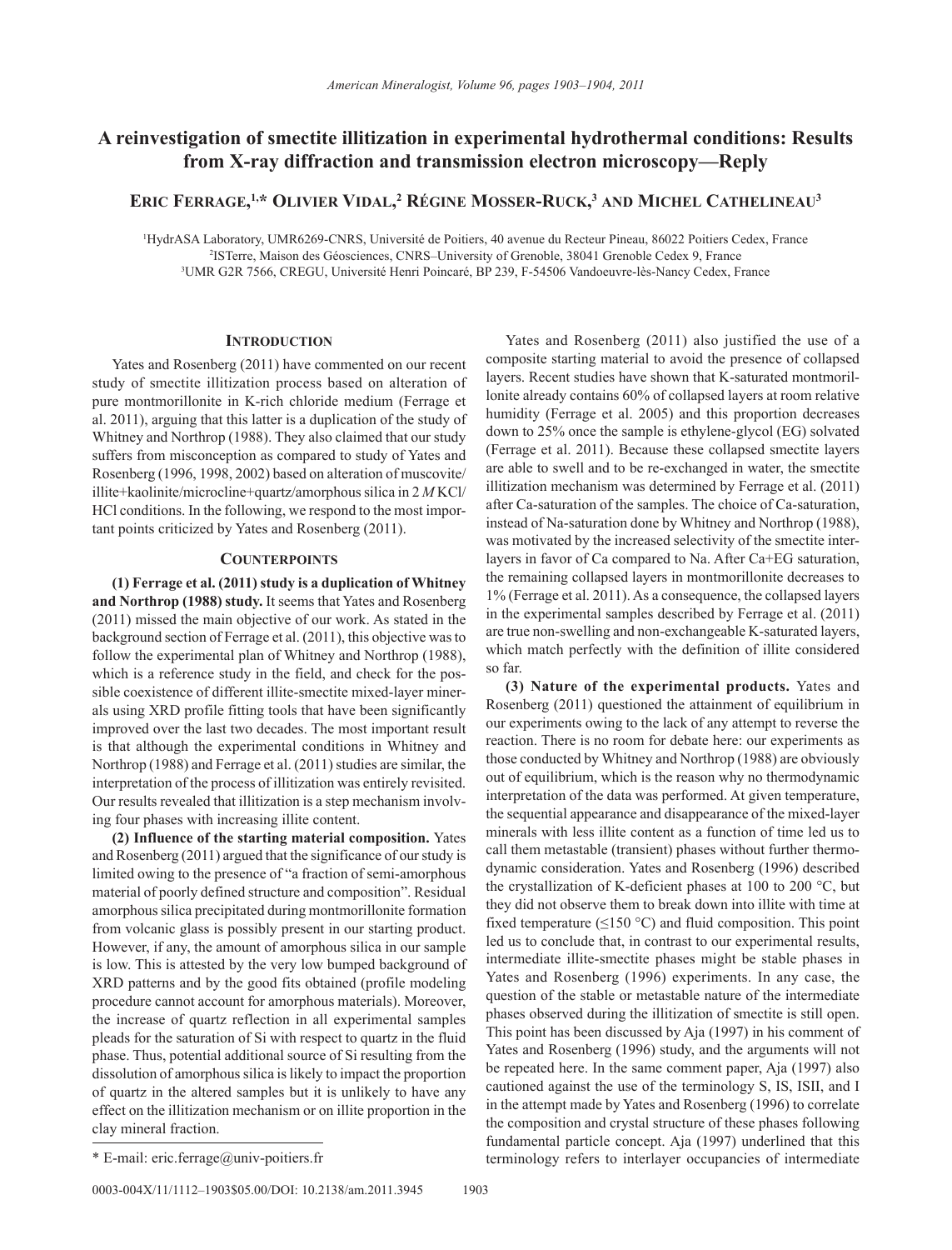## **A reinvestigation of smectite illitization in experimental hydrothermal conditions: Results from X-ray diffraction and transmission electron microscopy—Reply**

**Eric Ferrage, 1,\* Olivier Vidal, <sup>2</sup> Régine Mosser-Ruck, <sup>3</sup> and Michel Cathelineau3**

1 HydrASA Laboratory, UMR6269-CNRS, Université de Poitiers, 40 avenue du Recteur Pineau, 86022 Poitiers Cedex, France 2 ISTerre, Maison des Géosciences, CNRS–University of Grenoble, 38041 Grenoble Cedex 9, France 3 UMR G2R 7566, CREGU, Université Henri Poincaré, BP 239, F-54506 Vandoeuvre-lès-Nancy Cedex, France

## **INTRODUCTION**

Yates and Rosenberg (2011) have commented on our recent study of smectite illitization process based on alteration of pure montmorillonite in K-rich chloride medium (Ferrage et al. 2011), arguing that this latter is a duplication of the study of Whitney and Northrop (1988). They also claimed that our study suffers from misconception as compared to study of Yates and Rosenberg (1996, 1998, 2002) based on alteration of muscovite/ illite+kaolinite/microcline+quartz/amorphous silica in 2 *M* KCl/ HCl conditions. In the following, we respond to the most important points criticized by Yates and Rosenberg (2011).

## **Counterpoints**

**(1) Ferrage et al. (2011) study is a duplication of Whitney and Northrop (1988) study.** It seems that Yates and Rosenberg (2011) missed the main objective of our work. As stated in the background section of Ferrage et al. (2011), this objective was to follow the experimental plan of Whitney and Northrop (1988), which is a reference study in the field, and check for the possible coexistence of different illite-smectite mixed-layer minerals using XRD profile fitting tools that have been significantly improved over the last two decades. The most important result is that although the experimental conditions in Whitney and Northrop (1988) and Ferrage et al. (2011) studies are similar, the interpretation of the process of illitization was entirely revisited. Our results revealed that illitization is a step mechanism involving four phases with increasing illite content.

**(2) Influence of the starting material composition.** Yates and Rosenberg (2011) argued that the significance of our study is limited owing to the presence of "a fraction of semi-amorphous material of poorly defined structure and composition". Residual amorphous silica precipitated during montmorillonite formation from volcanic glass is possibly present in our starting product. However, if any, the amount of amorphous silica in our sample is low. This is attested by the very low bumped background of XRD patterns and by the good fits obtained (profile modeling procedure cannot account for amorphous materials). Moreover, the increase of quartz reflection in all experimental samples pleads for the saturation of Si with respect to quartz in the fluid phase. Thus, potential additional source of Si resulting from the dissolution of amorphous silica is likely to impact the proportion of quartz in the altered samples but it is unlikely to have any effect on the illitization mechanism or on illite proportion in the clay mineral fraction.

Yates and Rosenberg (2011) also justified the use of a composite starting material to avoid the presence of collapsed layers. Recent studies have shown that K-saturated montmorillonite already contains 60% of collapsed layers at room relative humidity (Ferrage et al. 2005) and this proportion decreases down to 25% once the sample is ethylene-glycol (EG) solvated (Ferrage et al. 2011). Because these collapsed smectite layers are able to swell and to be re-exchanged in water, the smectite illitization mechanism was determined by Ferrage et al. (2011) after Ca-saturation of the samples. The choice of Ca-saturation, instead of Na-saturation done by Whitney and Northrop (1988), was motivated by the increased selectivity of the smectite interlayers in favor of Ca compared to Na. After Ca+EG saturation, the remaining collapsed layers in montmorillonite decreases to 1% (Ferrage et al. 2011). As a consequence, the collapsed layers in the experimental samples described by Ferrage et al. (2011) are true non-swelling and non-exchangeable K-saturated layers, which match perfectly with the definition of illite considered so far.

**(3) Nature of the experimental products.** Yates and Rosenberg (2011) questioned the attainment of equilibrium in our experiments owing to the lack of any attempt to reverse the reaction. There is no room for debate here: our experiments as those conducted by Whitney and Northrop (1988) are obviously out of equilibrium, which is the reason why no thermodynamic interpretation of the data was performed. At given temperature, the sequential appearance and disappearance of the mixed-layer minerals with less illite content as a function of time led us to call them metastable (transient) phases without further thermodynamic consideration. Yates and Rosenberg (1996) described the crystallization of K-deficient phases at 100 to 200 °C, but they did not observe them to break down into illite with time at fixed temperature ( $\leq$ 150 °C) and fluid composition. This point led us to conclude that, in contrast to our experimental results, intermediate illite-smectite phases might be stable phases in Yates and Rosenberg (1996) experiments. In any case, the question of the stable or metastable nature of the intermediate phases observed during the illitization of smectite is still open. This point has been discussed by Aja (1997) in his comment of Yates and Rosenberg (1996) study, and the arguments will not be repeated here. In the same comment paper, Aja (1997) also cautioned against the use of the terminology S, IS, ISII, and I in the attempt made by Yates and Rosenberg (1996) to correlate the composition and crystal structure of these phases following fundamental particle concept. Aja (1997) underlined that this \* E-mail: eric.ferrage@univ-poitiers.fr terminology refers to interlayer occupancies of intermediate